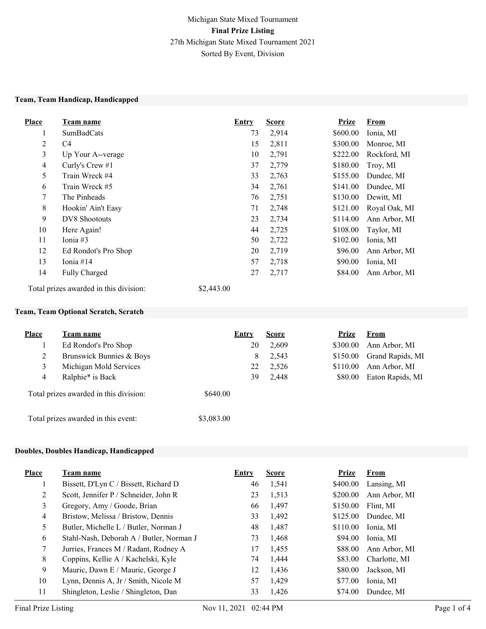#### Team, Team Handicap, Handicapped

| <b>Place</b>   | Team name            | Entry | <b>Score</b> | <b>Prize</b> | <b>From</b>   |
|----------------|----------------------|-------|--------------|--------------|---------------|
| 1              | <b>SumBadCats</b>    | 73    | 2,914        | \$600.00     | Ionia, MI     |
| $\overline{2}$ | C <sub>4</sub>       | 15    | 2,811        | \$300.00     | Monroe, MI    |
| 3              | Up Your A--verage    | 10    | 2,791        | \$222.00     | Rockford, MI  |
| $\overline{4}$ | Curly's Crew $#1$    | 37    | 2,779        | \$180.00     | Troy, MI      |
| 5              | Train Wreck #4       | 33    | 2,763        | \$155.00     | Dundee, MI    |
| 6              | Train Wreck #5       | 34    | 2,761        | \$141.00     | Dundee, MI    |
| 7              | The Pinheads         | 76    | 2,751        | \$130.00     | Dewitt, MI    |
| 8              | Hookin' Ain't Easy   | 71    | 2,748        | \$121.00     | Royal Oak, MI |
| 9              | DV8 Shootouts        | 23    | 2,734        | \$114.00     | Ann Arbor, MI |
| 10             | Here Again!          | 44    | 2,725        | \$108.00     | Taylor, MI    |
| 11             | Ionia $#3$           | 50    | 2,722        | \$102.00     | Ionia, MI     |
| 12             | Ed Rondot's Pro Shop | 20    | 2,719        | \$96.00      | Ann Arbor, MI |
| 13             | Ionia #14            | 57    | 2,718        | \$90.00      | Ionia, MI     |
| 14             | <b>Fully Charged</b> | 27    | 2,717        | \$84.00      | Ann Arbor, MI |

Total prizes awarded in this division: \$2,443.00

# Team, Team Optional Scratch, Scratch

| <b>Place</b> | Team name                              | <b>Entry</b> |    | <b>Score</b> | Prize    | <b>From</b>      |
|--------------|----------------------------------------|--------------|----|--------------|----------|------------------|
|              | Ed Rondot's Pro Shop                   |              | 20 | 2,609        | \$300.00 | Ann Arbor, MI    |
| 2            | Brunswick Bunnies & Boys               |              | 8  | 2,543        | \$150.00 | Grand Rapids, MI |
| 3            | Michigan Mold Services                 |              | 22 | 2,526        | \$110.00 | Ann Arbor, MI    |
| 4            | Ralphie* is Back                       |              | 39 | 2,448        | \$80.00  | Eaton Rapids, MI |
|              | Total prizes awarded in this division: | \$640.00     |    |              |          |                  |
|              | Total prizes awarded in this event:    | \$3,083.00   |    |              |          |                  |

#### Doubles, Doubles Handicap, Handicapped

| <b>Place</b> | Team name                                | Entry | <b>Score</b> | <b>Prize</b> | From          |
|--------------|------------------------------------------|-------|--------------|--------------|---------------|
|              | Bissett, D'Lyn C / Bissett, Richard D    | 46    | 1,541        | \$400.00     | Lansing, MI   |
| 2            | Scott, Jennifer P / Schneider, John R    | 23    | 1,513        | \$200.00     | Ann Arbor, MI |
| 3            | Gregory, Amy / Goode, Brian              | 66    | 1,497        | \$150.00     | Flint, MI     |
| 4            | Bristow, Melissa / Bristow, Dennis       | 33    | 1,492        | \$125.00     | Dundee, MI    |
| 5            | Butler, Michelle L / Butler, Norman J    | 48    | 1,487        | \$110.00     | Ionia, MI     |
| 6            | Stahl-Nash, Deborah A / Butler, Norman J | 73    | 1,468        | \$94.00      | Ionia, MI     |
| 7            | Jurries, Frances M / Radant, Rodney A    | 17    | 1,455        | \$88.00      | Ann Arbor, MI |
| 8            | Coppins, Kellie A / Kachelski, Kyle      | 74    | 1,444        | \$83.00      | Charlotte, MI |
| 9            | Mauric, Dawn E / Mauric, George J        | 12    | 1,436        | \$80.00      | Jackson, MI   |
| 10           | Lynn, Dennis A, Jr / Smith, Nicole M     | 57    | 1.429        | \$77.00      | Ionia, MI     |
| 11           | Shingleton, Leslie / Shingleton, Dan     | 33    | 1,426        | \$74.00      | Dundee, MI    |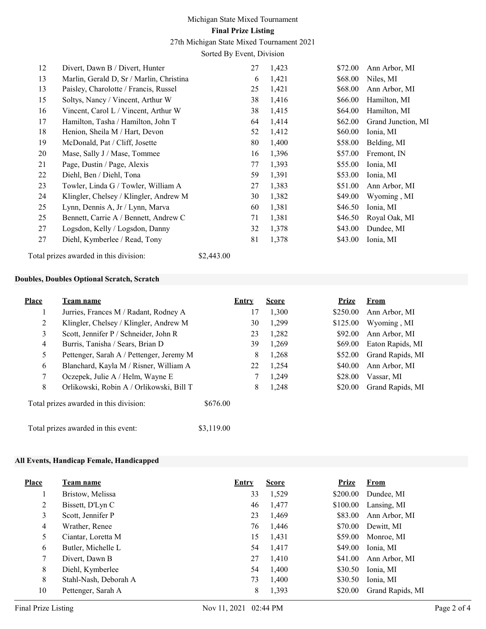# Michigan State Mixed Tournament Final Prize Listing

27th Michigan State Mixed Tournament 2021

Sorted By Event, Division

| 12 | Divert, Dawn B / Divert, Hunter          | 27 | 1,423 | \$72.00 | Ann Arbor, MI      |
|----|------------------------------------------|----|-------|---------|--------------------|
| 13 | Marlin, Gerald D, Sr / Marlin, Christina | 6  | 1,421 | \$68.00 | Niles, MI          |
| 13 | Paisley, Charolotte / Francis, Russel    | 25 | 1,421 | \$68.00 | Ann Arbor, MI      |
| 15 | Soltys, Nancy / Vincent, Arthur W        | 38 | 1,416 | \$66.00 | Hamilton, MI       |
| 16 | Vincent, Carol L / Vincent, Arthur W     | 38 | 1,415 | \$64.00 | Hamilton, MI       |
| 17 | Hamilton, Tasha / Hamilton, John T       | 64 | 1,414 | \$62.00 | Grand Junction, MI |
| 18 | Henion, Sheila M / Hart, Devon           | 52 | 1,412 | \$60.00 | Ionia, MI          |
| 19 | McDonald, Pat / Cliff, Josette           | 80 | 1,400 | \$58.00 | Belding, MI        |
| 20 | Mase, Sally J / Mase, Tommee             | 16 | 1,396 | \$57.00 | Fremont, IN        |
| 21 | Page, Dustin / Page, Alexis              | 77 | 1,393 | \$55.00 | Ionia, MI          |
| 22 | Diehl, Ben / Diehl, Tona                 | 59 | 1,391 | \$53.00 | Ionia, MI          |
| 23 | Towler, Linda G / Towler, William A      | 27 | 1,383 | \$51.00 | Ann Arbor, MI      |
| 24 | Klingler, Chelsey / Klingler, Andrew M   | 30 | 1,382 | \$49.00 | Wyoming, MI        |
| 25 | Lynn, Dennis A, Jr / Lynn, Marva         | 60 | 1,381 | \$46.50 | Ionia, MI          |
| 25 | Bennett, Carrie A / Bennett, Andrew C    | 71 | 1,381 | \$46.50 | Royal Oak, MI      |
| 27 | Logsdon, Kelly / Logsdon, Danny          | 32 | 1,378 | \$43.00 | Dundee, MI         |
| 27 | Diehl, Kymberlee / Read, Tony            | 81 | 1,378 | \$43.00 | Ionia, MI          |
|    |                                          |    |       |         |                    |

Total prizes awarded in this division: \$2,443.00

#### Doubles, Doubles Optional Scratch, Scratch

| Place          | Team name                                | Entry      | <b>Score</b> | Prize    | From             |
|----------------|------------------------------------------|------------|--------------|----------|------------------|
| 1              | Jurries, Frances M / Radant, Rodney A    | 17         | 1,300        | \$250.00 | Ann Arbor, MI    |
| 2              | Klingler, Chelsey / Klingler, Andrew M   | 30         | 1,299        | \$125.00 | Wyoming, MI      |
| 3              | Scott, Jennifer P / Schneider, John R    | 23         | 1,282        | \$92.00  | Ann Arbor, MI    |
| $\overline{4}$ | Burris, Tanisha / Sears, Brian D         | 39         | 1,269        | \$69.00  | Eaton Rapids, MI |
| 5              | Pettenger, Sarah A / Pettenger, Jeremy M | 8          | 1,268        | \$52.00  | Grand Rapids, MI |
| 6              | Blanchard, Kayla M / Risner, William A   | 22         | 1,254        | \$40.00  | Ann Arbor, MI    |
| 7              | Oczepek, Julie A / Helm, Wayne E         |            | 1,249        | \$28.00  | Vassar, MI       |
| 8              | Orlikowski, Robin A / Orlikowski, Bill T | 8          | 1,248        | \$20.00  | Grand Rapids, MI |
|                | Total prizes awarded in this division:   | \$676.00   |              |          |                  |
|                | Total prizes awarded in this event:      | \$3,119.00 |              |          |                  |

#### All Events, Handicap Female, Handicapped

| <b>Place</b> | Team name             | <b>Entry</b> | <b>Score</b> | Prize    | <b>From</b>      |
|--------------|-----------------------|--------------|--------------|----------|------------------|
|              | Bristow, Melissa      | 33           | 1,529        | \$200.00 | Dundee, MI       |
| 2            | Bissett, D'Lyn C      | 46           | 1,477        | \$100.00 | Lansing, MI      |
| 3            | Scott, Jennifer P     | 23           | 1,469        | \$83.00  | Ann Arbor, MI    |
| 4            | Wrather, Renee        | 76           | 1,446        | \$70.00  | Dewitt, MI       |
| 5            | Ciantar, Loretta M    | 15           | 1,431        | \$59.00  | Monroe, MI       |
| 6            | Butler, Michelle L    | 54           | 1,417        | \$49.00  | Ionia, MI        |
| 7            | Divert, Dawn B        | 27           | 1,410        | \$41.00  | Ann Arbor, MI    |
| 8            | Diehl, Kymberlee      | 54           | 1.400        | \$30.50  | Ionia, MI        |
| 8            | Stahl-Nash, Deborah A | 73           | 1,400        | \$30.50  | Ionia, MI        |
| 10           | Pettenger, Sarah A    | 8            | 1,393        | \$20.00  | Grand Rapids, MI |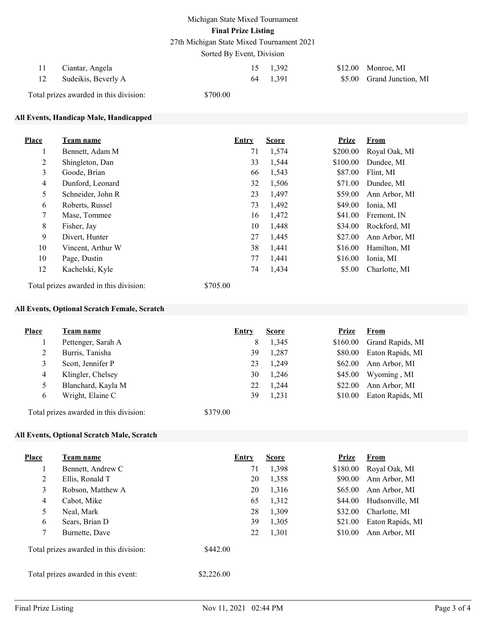27th Michigan State Mixed Tournament 2021

Sorted By Event, Division

| Ciantar, Angela<br>$\pm 1$<br>Sudeikis, Beverly A |          | 15 1.392<br>64 1.391 | $$12.00$ Monroe, MI<br>\$5.00 Grand Junction, MI |
|---------------------------------------------------|----------|----------------------|--------------------------------------------------|
| Total prizes awarded in this division:            | \$700.00 |                      |                                                  |

## All Events, Handicap Male, Handicapped

| <b>Place</b>   | <b>Team name</b>                                   | <b>Entry</b> | <b>Score</b> | <b>Prize</b> | <b>From</b>   |
|----------------|----------------------------------------------------|--------------|--------------|--------------|---------------|
|                | Bennett, Adam M                                    | 71           | 1,574        | \$200.00     | Royal Oak, MI |
| $\overline{2}$ | Shingleton, Dan                                    | 33           | 1,544        | \$100.00     | Dundee, MI    |
| 3              | Goode, Brian                                       | 66           | 1,543        | \$87.00      | Flint, MI     |
| $\overline{4}$ | Dunford, Leonard                                   | 32           | 1,506        | \$71.00      | Dundee, MI    |
| 5              | Schneider, John R                                  | 23           | 1,497        | \$59.00      | Ann Arbor, MI |
| 6              | Roberts, Russel                                    | 73           | 1,492        | \$49.00      | Ionia, MI     |
| $\tau$         | Mase, Tommee                                       | 16           | 1,472        | \$41.00      | Fremont, IN   |
| 8              | Fisher, Jay                                        | 10           | 1,448        | \$34.00      | Rockford, MI  |
| 9              | Divert, Hunter                                     | 27           | 1,445        | \$27.00      | Ann Arbor, MI |
| 10             | Vincent, Arthur W                                  | 38           | 1,441        | \$16.00      | Hamilton, MI  |
| 10             | Page, Dustin                                       | 77           | 1,441        | \$16.00      | Ionia, MI     |
| 12             | Kachelski, Kyle                                    | 74           | 1,434        | \$5.00       | Charlotte, MI |
|                | \$705.00<br>Total prizes awarded in this division: |              |              |              |               |

# All Events, Optional Scratch Female, Scratch

| <b>Place</b> | <b>Team name</b>   | Entry | <b>Score</b> | Prize    | <b>From</b>      |
|--------------|--------------------|-------|--------------|----------|------------------|
|              | Pettenger, Sarah A | 8     | 1,345        | \$160.00 | Grand Rapids, MI |
|              | Burris, Tanisha    | 39    | 1,287        | \$80.00  | Eaton Rapids, MI |
| 3            | Scott, Jennifer P  | 23    | 1,249        | \$62.00  | Ann Arbor, MI    |
| 4            | Klingler, Chelsey  | 30    | 1,246        | \$45.00  | Wyoming, MI      |
|              | Blanchard, Kayla M | 22    | 1,244        | \$22.00  | Ann Arbor, MI    |
| 6            | Wright, Elaine C   | 39    | 1,231        | \$10.00  | Eaton Rapids, MI |
|              |                    |       |              |          |                  |

Total prizes awarded in this division: \$379.00

### All Events, Optional Scratch Male, Scratch

| Place          | Team name                              | Entry      | <b>Score</b> | <b>Prize</b> | <b>From</b>      |
|----------------|----------------------------------------|------------|--------------|--------------|------------------|
|                | Bennett, Andrew C                      | 71         | 1,398        | \$180.00     | Royal Oak, MI    |
| 2              | Ellis, Ronald T                        | 20         | 1,358        | \$90.00      | Ann Arbor, MI    |
| 3              | Robson, Matthew A                      | 20         | 1,316        | \$65.00      | Ann Arbor, MI    |
| $\overline{4}$ | Cabot, Mike                            | 65         | 1,312        | \$44.00      | Hudsonville, MI  |
| 5              | Neal, Mark                             | 28         | 1,309        | \$32.00      | Charlotte, MI    |
| 6              | Sears, Brian D                         | 39         | 1,305        | \$21.00      | Eaton Rapids, MI |
| 7              | Burnette, Dave                         | 22         | 1,301        | \$10.00      | Ann Arbor, MI    |
|                | Total prizes awarded in this division: | \$442.00   |              |              |                  |
|                | Total prizes awarded in this event:    | \$2,226.00 |              |              |                  |